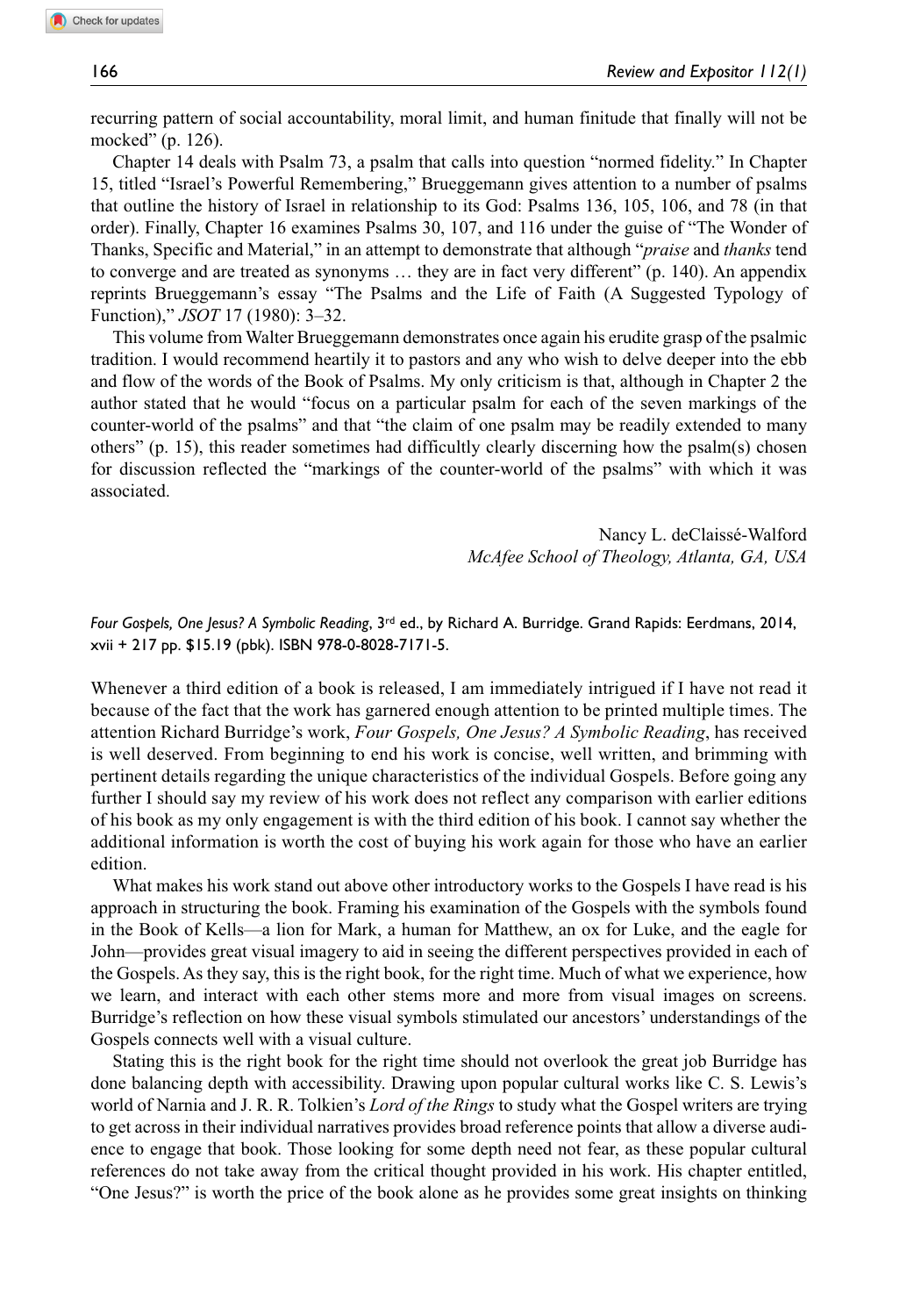recurring pattern of social accountability, moral limit, and human finitude that finally will not be mocked" (p. 126).

Chapter 14 deals with Psalm 73, a psalm that calls into question "normed fidelity." In Chapter 15, titled "Israel's Powerful Remembering," Brueggemann gives attention to a number of psalms that outline the history of Israel in relationship to its God: Psalms 136, 105, 106, and 78 (in that order). Finally, Chapter 16 examines Psalms 30, 107, and 116 under the guise of "The Wonder of Thanks, Specific and Material," in an attempt to demonstrate that although "*praise* and *thanks* tend to converge and are treated as synonyms … they are in fact very different" (p. 140). An appendix reprints Brueggemann's essay "The Psalms and the Life of Faith (A Suggested Typology of Function)," *JSOT* 17 (1980): 3–32.

This volume from Walter Brueggemann demonstrates once again his erudite grasp of the psalmic tradition. I would recommend heartily it to pastors and any who wish to delve deeper into the ebb and flow of the words of the Book of Psalms. My only criticism is that, although in Chapter 2 the author stated that he would "focus on a particular psalm for each of the seven markings of the counter-world of the psalms" and that "the claim of one psalm may be readily extended to many others" (p. 15), this reader sometimes had difficultly clearly discerning how the psalm(s) chosen for discussion reflected the "markings of the counter-world of the psalms" with which it was associated.

> Nancy L. deClaissé-Walford *McAfee School of Theology, Atlanta, GA, USA*

*Four Gospels, One Jesus? A Symbolic Reading*, 3rd ed., by Richard A. Burridge. Grand Rapids: Eerdmans, 2014, xvii + 217 pp. \$15.19 (pbk). ISBN 978-0-8028-7171-5.

Whenever a third edition of a book is released, I am immediately intrigued if I have not read it because of the fact that the work has garnered enough attention to be printed multiple times. The attention Richard Burridge's work, *Four Gospels, One Jesus? A Symbolic Reading*, has received is well deserved. From beginning to end his work is concise, well written, and brimming with pertinent details regarding the unique characteristics of the individual Gospels. Before going any further I should say my review of his work does not reflect any comparison with earlier editions of his book as my only engagement is with the third edition of his book. I cannot say whether the additional information is worth the cost of buying his work again for those who have an earlier edition.

What makes his work stand out above other introductory works to the Gospels I have read is his approach in structuring the book. Framing his examination of the Gospels with the symbols found in the Book of Kells—a lion for Mark, a human for Matthew, an ox for Luke, and the eagle for John—provides great visual imagery to aid in seeing the different perspectives provided in each of the Gospels. As they say, this is the right book, for the right time. Much of what we experience, how we learn, and interact with each other stems more and more from visual images on screens. Burridge's reflection on how these visual symbols stimulated our ancestors' understandings of the Gospels connects well with a visual culture.

Stating this is the right book for the right time should not overlook the great job Burridge has done balancing depth with accessibility. Drawing upon popular cultural works like C. S. Lewis's world of Narnia and J. R. R. Tolkien's *Lord of the Rings* to study what the Gospel writers are trying to get across in their individual narratives provides broad reference points that allow a diverse audience to engage that book. Those looking for some depth need not fear, as these popular cultural references do not take away from the critical thought provided in his work. His chapter entitled, "One Jesus?" is worth the price of the book alone as he provides some great insights on thinking